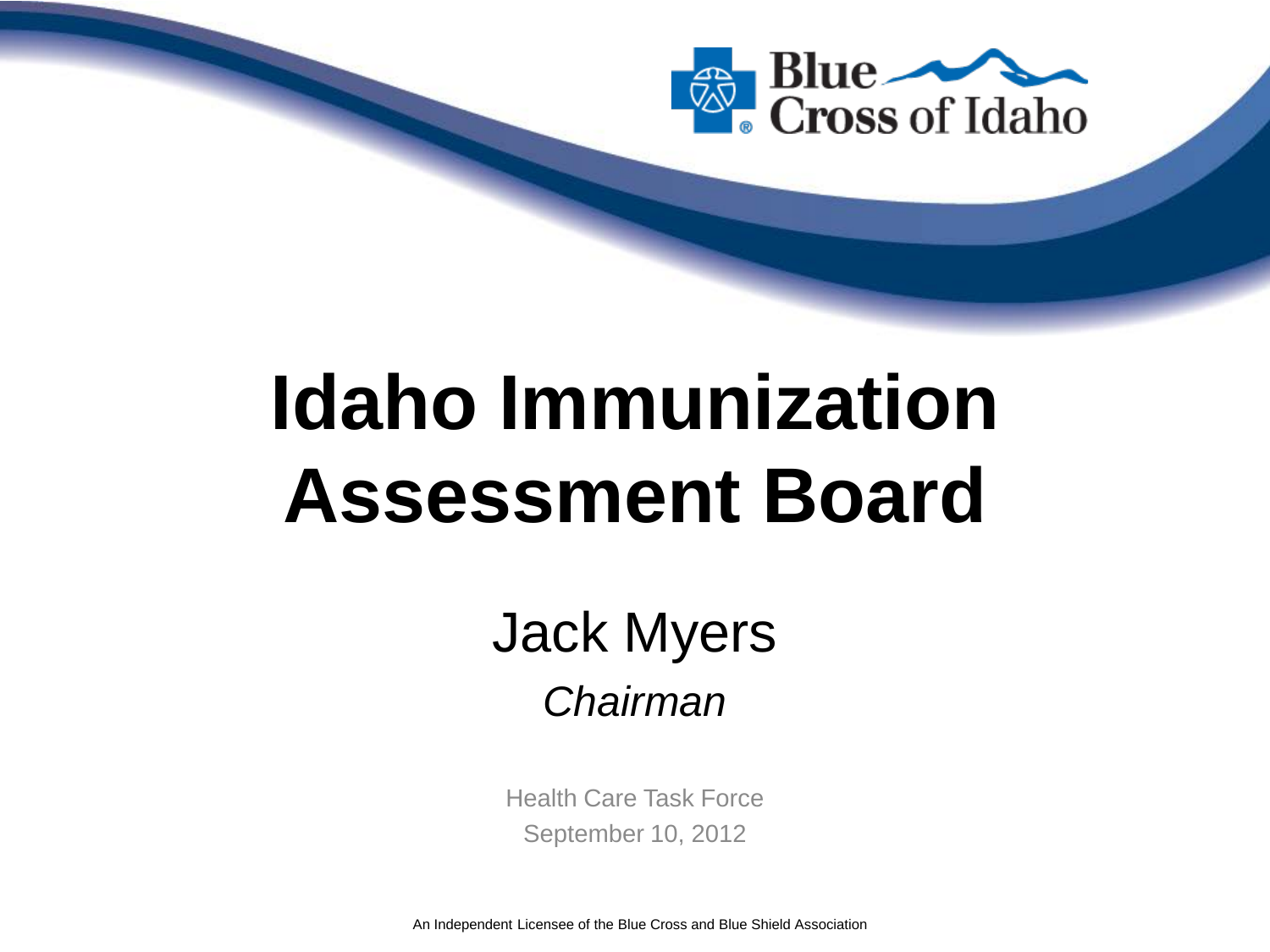

# **Idaho Immunization Assessment Board**

Jack Myers *Chairman*

Health Care Task Force September 10, 2012

An Independent Licensee of the Blue Cross and Blue Shield Association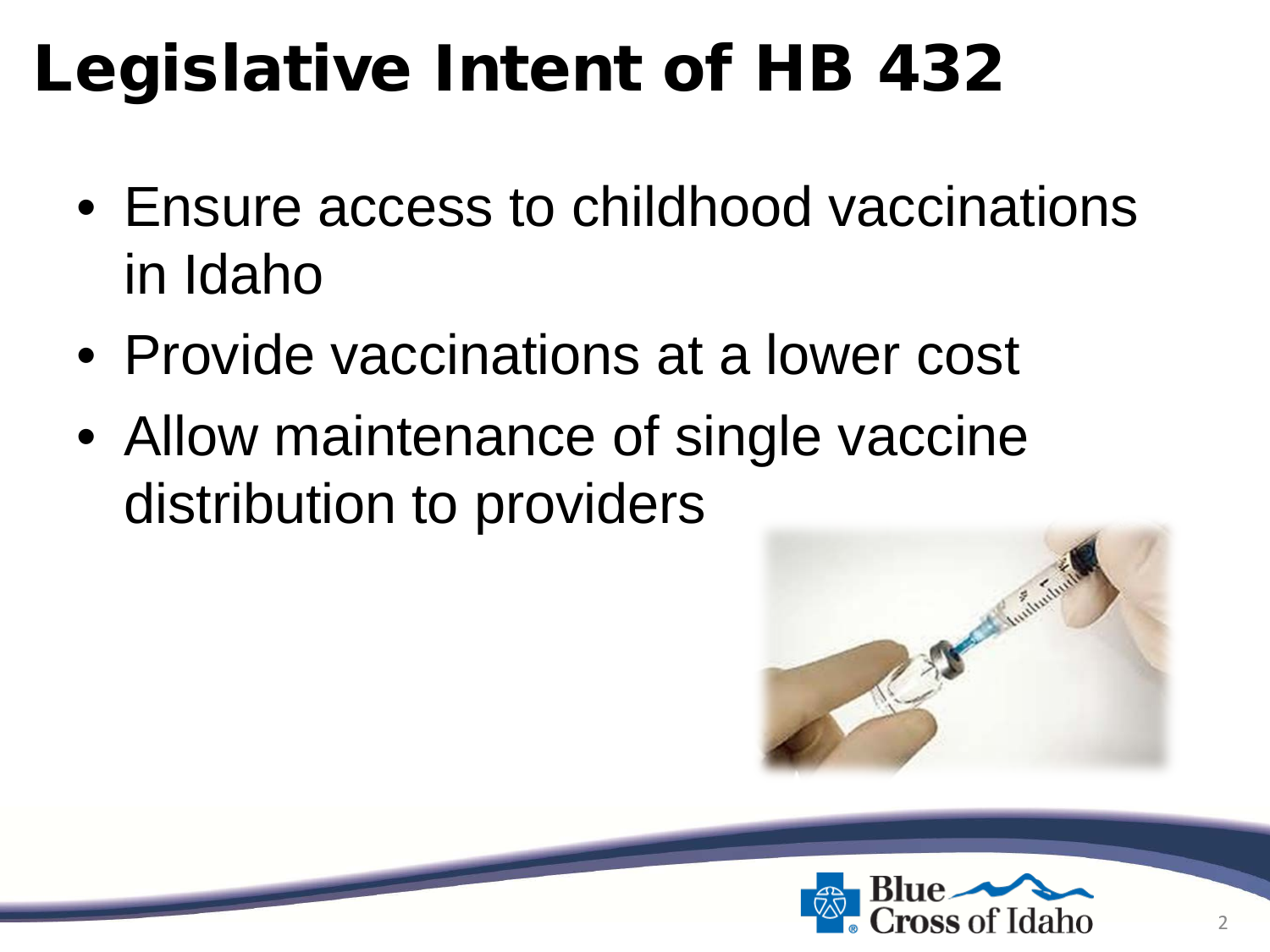## Legislative Intent of HB 432

- Ensure access to childhood vaccinations in Idaho
- Provide vaccinations at a lower cost
- Allow maintenance of single vaccine distribution to providers



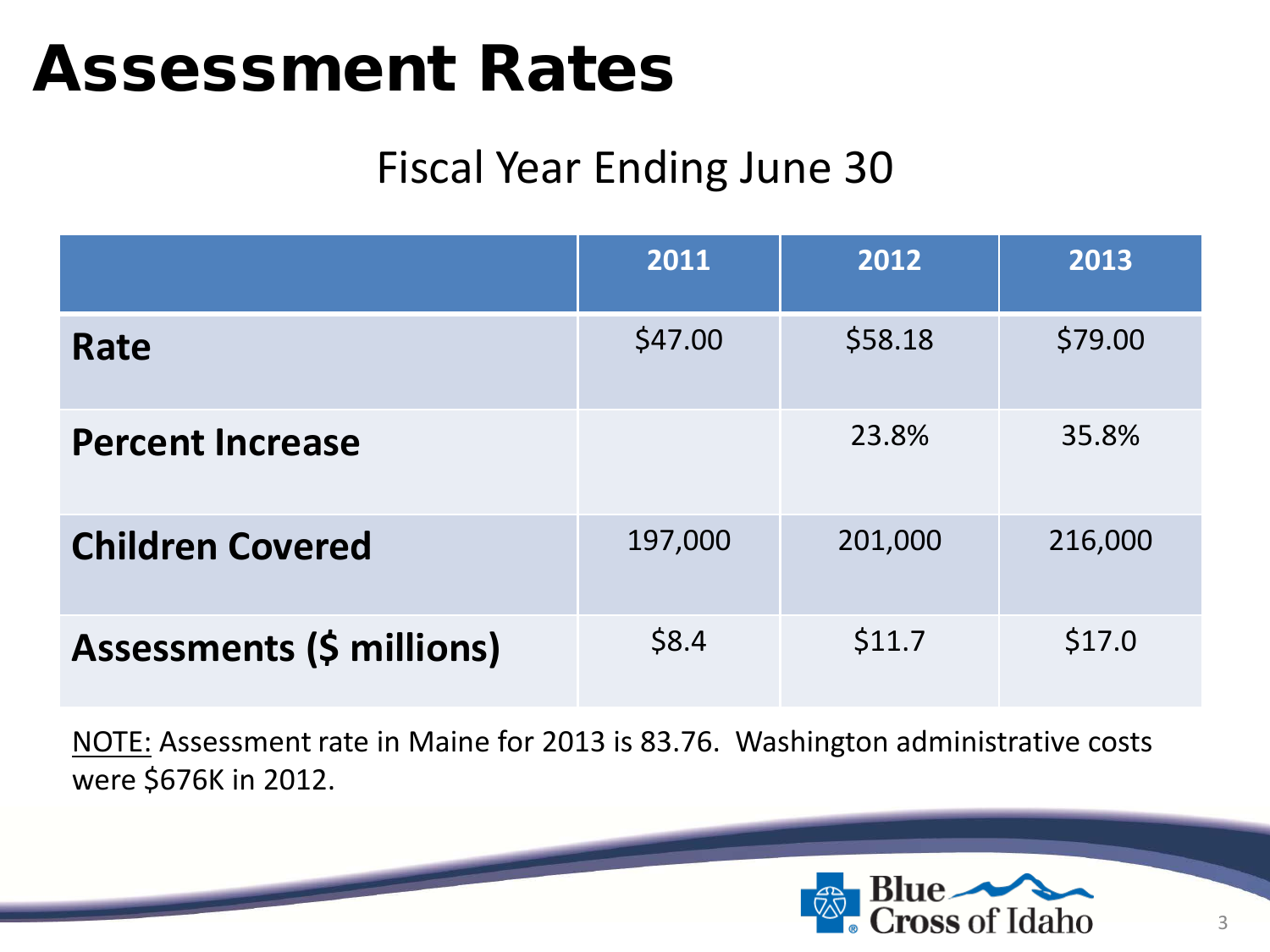### Assessment Rates

### Fiscal Year Ending June 30

|                                  | 2011    | 2012    | 2013    |
|----------------------------------|---------|---------|---------|
| Rate                             | \$47.00 | \$58.18 | \$79.00 |
| <b>Percent Increase</b>          |         | 23.8%   | 35.8%   |
| <b>Children Covered</b>          | 197,000 | 201,000 | 216,000 |
| <b>Assessments (\$ millions)</b> | \$8.4   | \$11.7  | \$17.0  |

NOTE: Assessment rate in Maine for 2013 is 83.76. Washington administrative costs were \$676K in 2012.

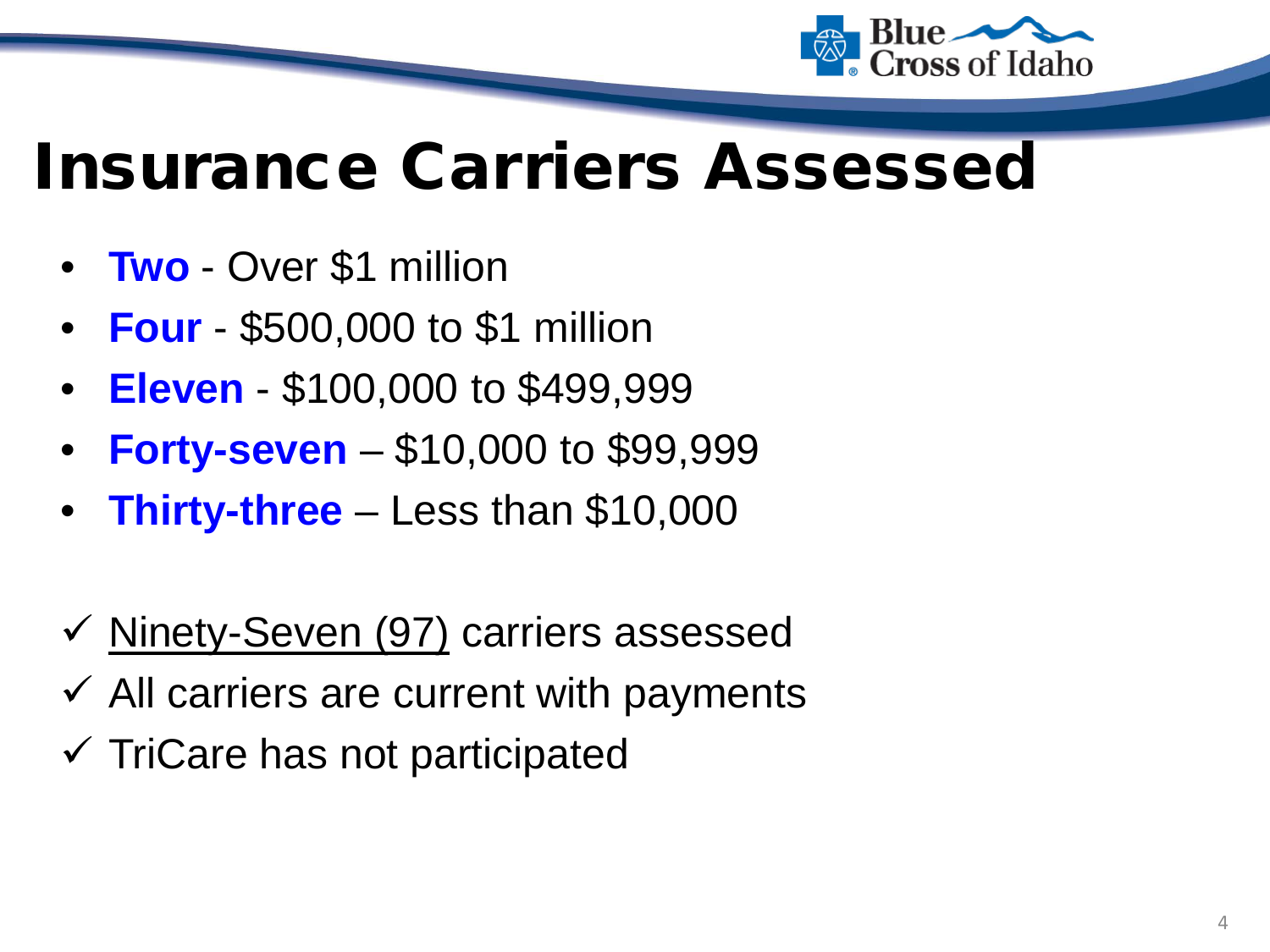

### Insurance Carriers Assessed

- **Two** Over \$1 million
- **Four** \$500,000 to \$1 million
- **Eleven** \$100,000 to \$499,999
- **Forty-seven** \$10,000 to \$99,999
- **Thirty-three** Less than \$10,000
- $\checkmark$  Ninety-Seven (97) carriers assessed
- $\checkmark$  All carriers are current with payments
- $\checkmark$  TriCare has not participated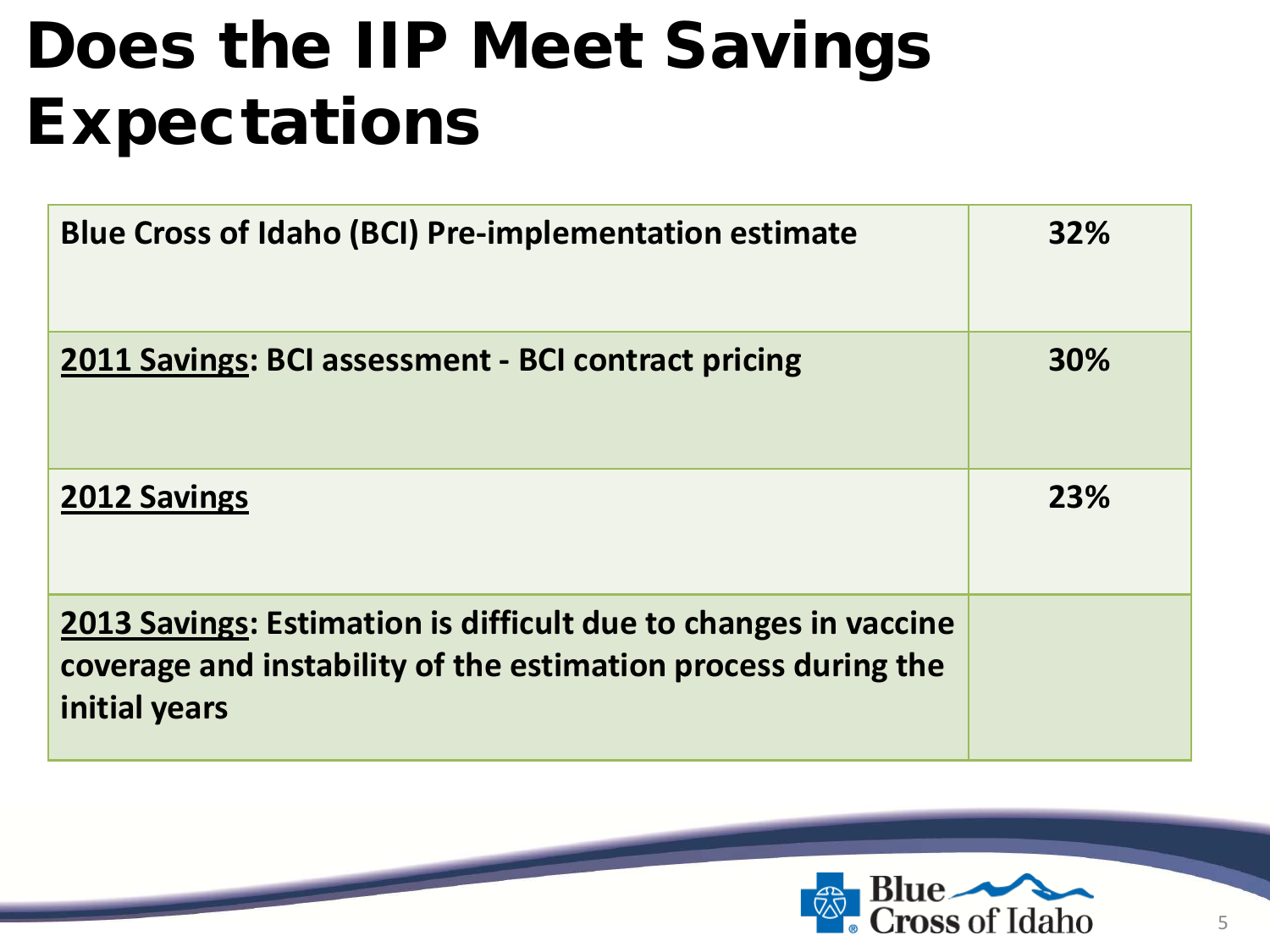## Does the IIP Meet Savings Expectations

| <b>Blue Cross of Idaho (BCI) Pre-implementation estimate</b>                                                                                      | 32%        |
|---------------------------------------------------------------------------------------------------------------------------------------------------|------------|
| 2011 Savings: BCI assessment - BCI contract pricing                                                                                               | <b>30%</b> |
| <b>2012 Savings</b>                                                                                                                               | 23%        |
| 2013 Savings: Estimation is difficult due to changes in vaccine<br>coverage and instability of the estimation process during the<br>initial years |            |

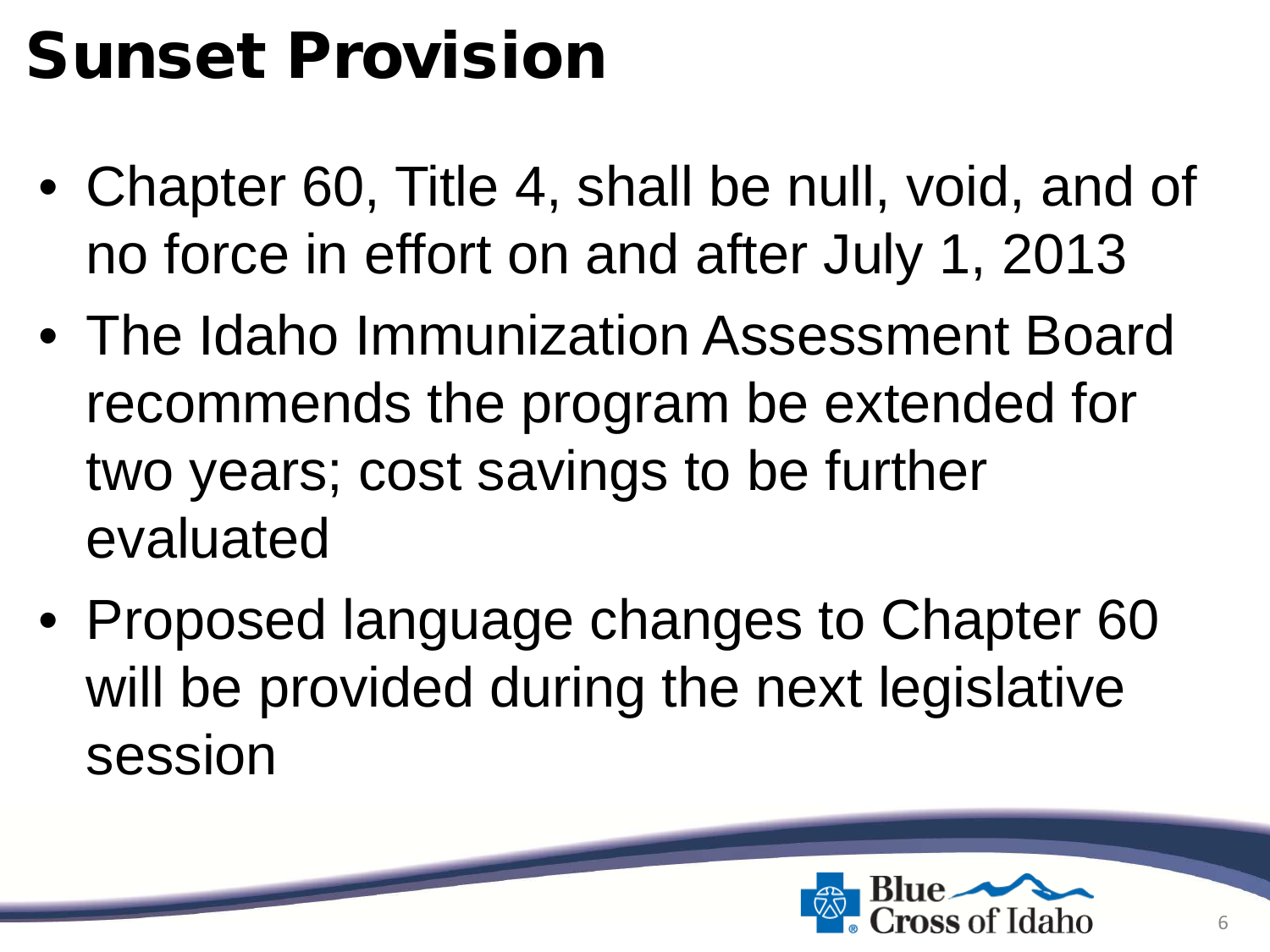## Sunset Provision

- Chapter 60, Title 4, shall be null, void, and of no force in effort on and after July 1, 2013
- The Idaho Immunization Assessment Board recommends the program be extended for two years; cost savings to be further evaluated
- Proposed language changes to Chapter 60 will be provided during the next legislative session

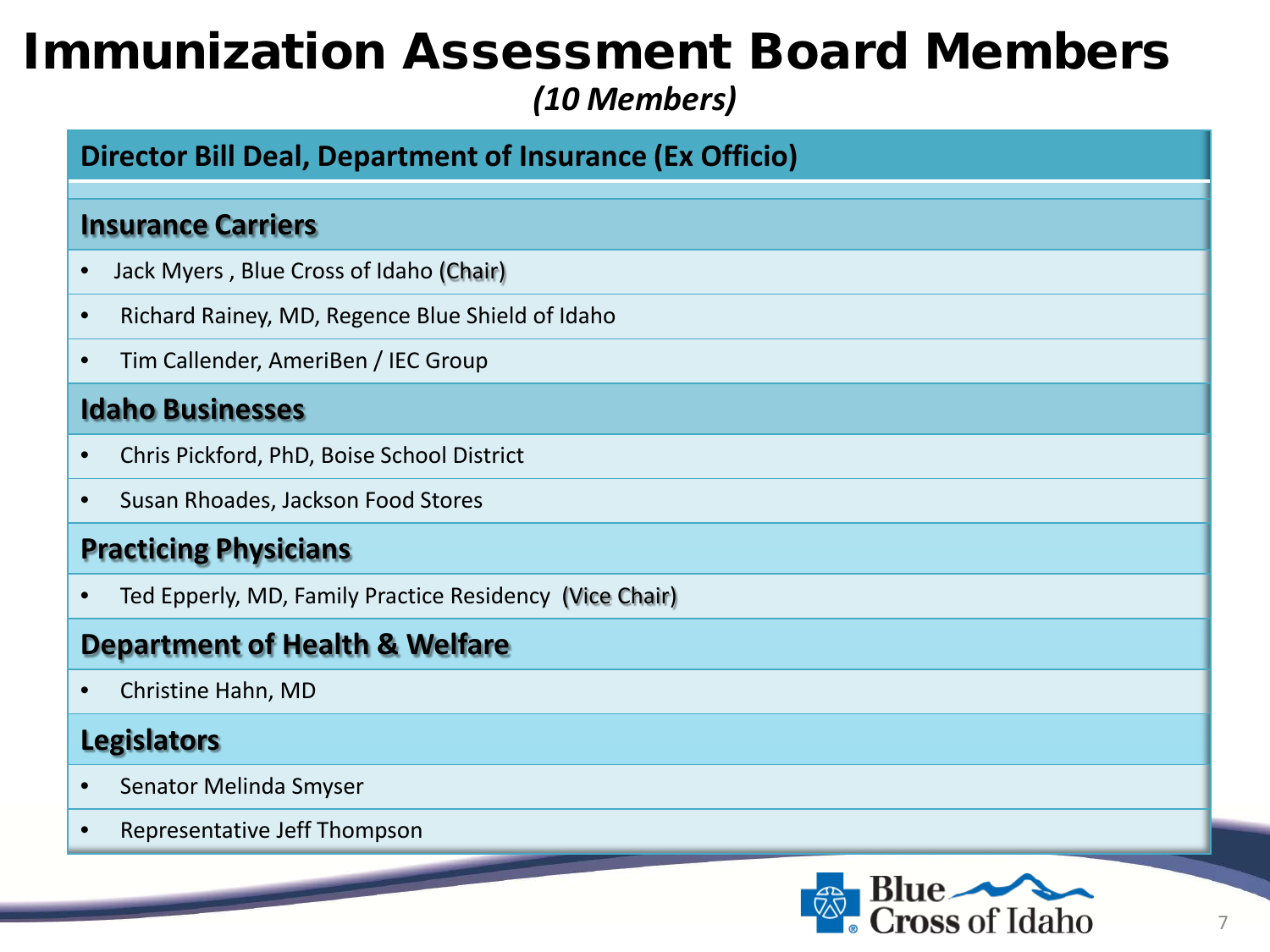### Immunization Assessment Board Members *(10 Members)*

#### **Director Bill Deal, Department of Insurance (Ex Officio)**

#### **Insurance Carriers**

- Jack Myers , Blue Cross of Idaho (Chair)
- Richard Rainey, MD, Regence Blue Shield of Idaho
- Tim Callender, AmeriBen / IEC Group

#### **Idaho Businesses**

- Chris Pickford, PhD, Boise School District
- Susan Rhoades, Jackson Food Stores

#### **Practicing Physicians**

• Ted Epperly, MD, Family Practice Residency (Vice Chair)

#### **Department of Health & Welfare**

• Christine Hahn, MD

#### **Legislators**

- Senator Melinda Smyser
- Representative Jeff Thompson